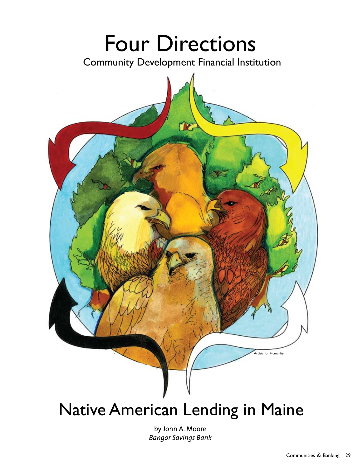# Four Directions

Community Development Financial Institution



## Native American Lending in Maine

by John A. Moore *Bangor Savings Bank*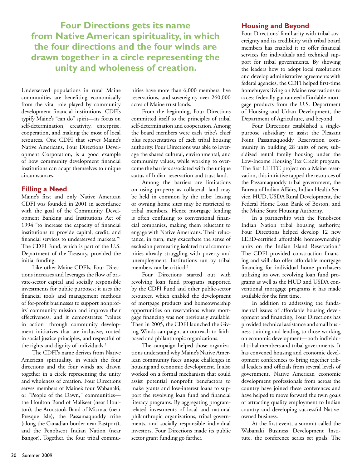**Four Directions gets its name from Native American spirituality, in which the four directions and the four winds are drawn together in a circle representing the unity and wholeness of creation.** 

Underserved populations in rural Maine communities are benefiting economically from the vital role played by community development financial institutions. CDFIs typify Maine's "can do" spirit—its focus on self-determination, creativity, enterprise, cooperation, and making the most of local resources. One CDFI that serves Maine's Native Americans, Four Directions Development Corporation, is a good example of how community development financial institutions can adapt themselves to unique circumstances.

### **Filling a Need**

Maine's first and only Native American CDFI was founded in 2001 in accordance with the goal of the Community Development Banking and Institutions Act of 1994 "to increase the capacity of financial institutions to provide capital, credit, and financial services to underserved markets."1 The CDFI Fund, which is part of the U.S. Department of the Treasury, provided the initial funding.

Like other Maine CDFIs, Four Directions increases and leverages the flow of private-sector capital and socially responsible investments for public purposes; it uses the financial tools and management methods of for-profit businesses to support nonprofits' community mission and improve their effectiveness; and it demonstrates "values in action" through community development initiatives that are inclusive, rooted in social justice principles, and respectful of the rights and dignity of individuals.<sup>2</sup>

The CDFI's name derives from Native American spirituality, in which the four directions and the four winds are drawn together in a circle representing the unity and wholeness of creation. Four Directions serves members of Maine's four Wabanaki, or "People of the Dawn," communities the Houlton Band of Maliseet (near Houlton), the Aroostook Band of Micmac (near Presque Isle), the Passamaquoddy tribe (along the Canadian border near Eastport), and the Penobscot Indian Nation (near Bangor). Together, the four tribal communities have more than 6,000 members, five reservations, and sovereignty over 260,000 acres of Maine trust lands.

From the beginning, Four Directions committed itself to the principles of tribal self-determination and cooperation. Among the board members were each tribe's chief plus representatives of each tribal housing authority. Four Directions was able to leverage the shared cultural, environmental, and community values, while working to overcome the barriers associated with the unique status of Indian reservation and trust land.

Among the barriers are limitations on using property as collateral: land may be held in common by the tribe; leasing or owning home sites may be restricted to tribal members. Hence mortgage lending is often confusing to conventional financial companies, making them reluctant to engage with Native Americans. Their reluctance, in turn, may exacerbate the sense of exclusion permeating isolated rural communities already struggling with poverty and unemployment. Institutions run by tribal members can be critical.<sup>3</sup>

Four Directions started out with revolving loan fund programs supported by the CDFI Fund and other public-sector resources, which enabled the development of mortgage products and homeownership opportunities on reservations where mortgage financing was not previously available. Then in 2005, the CDFI launched the Giving Winds campaign, an outreach to faithbased and philanthropic organizations.

The campaign helped those organizations understand why Maine's Native American community faces unique challenges in housing and economic development. It also worked on a formal mechanism that could assist potential nonprofit benefactors to make grants and low-interest loans to support the revolving loan fund and financial literacy programs. By aggregating programrelated investments of local and national philanthropic organizations, tribal governments, and socially responsible individual investors, Four Directions made its public sector grant funding go farther.

### **Housing and Beyond**

Four Directions' familiarity with tribal sovereignty and its credibility with tribal board members has enabled it to offer financial services for individuals and technical support for tribal governments. By showing the leaders how to adopt local resolutions and develop administrative agreements with federal agencies, the CDFI helped first-time homebuyers living on Maine reservations to access federally guaranteed affordable mortgage products from the U.S. Department of Housing and Urban Development, the Department of Agriculture, and beyond.

Four Directions established a singlepurpose subsidiary to assist the Pleasant Point Passamaquoddy Reservation community in building 28 units of new, subsidized rental family housing under the Low-Income Housing Tax Credit program. The first LIHTC project on a Maine reservation, this initiative tapped the resources of the Passamaquoddy tribal government, the Bureau of Indian Affairs, Indian Health Service, HUD, USDA Rural Development, the Federal Home Loan Bank of Boston, and the Maine State Housing Authority.

In a partnership with the Penobscot Indian Nation tribal housing authority, Four Directions helped develop 12 new LEED-certified affordable homeownership units on the Indian Island Reservation.<sup>4</sup> The CDFI provided construction financing and will also offer affordable mortgage financing for individual home purchasers utilizing its own revolving loan fund programs as well as the HUD and USDA conventional mortgage programs it has made available for the first time.

In addition to addressing the fundamental issues of affordable housing development and financing, Four Directions has provided technical assistance and small business training and lending to those working on economic development—both individual tribal members and tribal governments. It has convened housing and economic development conferences to bring together tribal leaders and officials from several levels of government. Native American economic development professionals from across the country have joined these conferences and have helped to move forward the twin goals of attracting quality employment to Indian country and developing successful Nativeowned business.

At the first event, a summit called the Wabanaki Business Development Institute, the conference series set goals. The